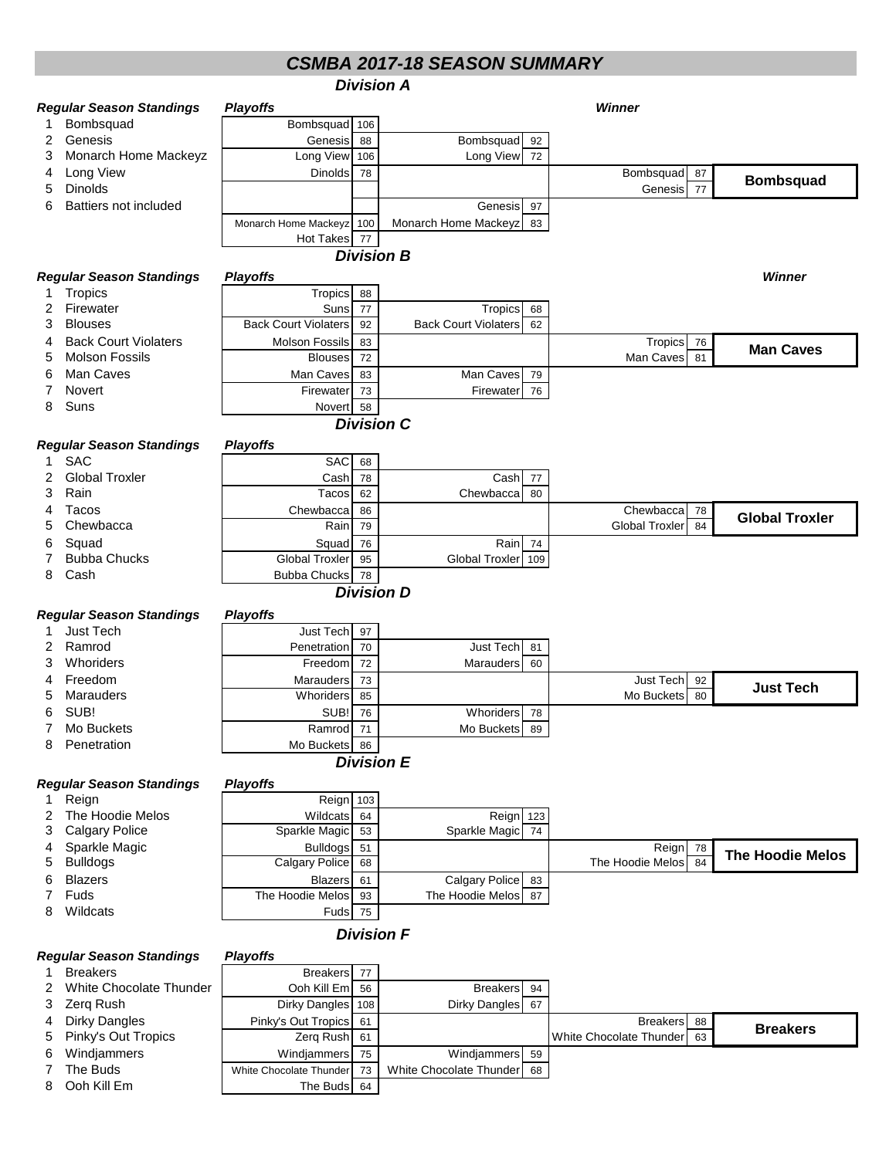## *CSMBA 2017-18 SEASON SUMMARY*

| <b>Division A</b>                                  |                                                              |                               |          |                             |     |                         |                 |                         |
|----------------------------------------------------|--------------------------------------------------------------|-------------------------------|----------|-----------------------------|-----|-------------------------|-----------------|-------------------------|
|                                                    | Winner<br><b>Regular Season Standings</b><br><b>Playoffs</b> |                               |          |                             |     |                         |                 |                         |
| 1                                                  | Bombsquad                                                    | Bombsquad 106                 |          |                             |     |                         |                 |                         |
| 2                                                  | Genesis                                                      | Genesis                       | 88       | Bombsquad                   | 92  |                         |                 |                         |
| 3                                                  | Monarch Home Mackeyz                                         | Long View 106                 |          | Long View                   | 72  |                         |                 |                         |
| 4                                                  | Long View                                                    | <b>Dinolds</b>                | 78       |                             |     | Bombsquad               | 87              |                         |
| 5                                                  | Dinolds                                                      |                               |          |                             |     | Genesis                 | 77              | <b>Bombsquad</b>        |
| 6                                                  | <b>Battiers not included</b>                                 |                               |          | Genesis                     | 97  |                         |                 |                         |
|                                                    |                                                              | Monarch Home Mackeyz 100      |          | Monarch Home Mackeyz        | 83  |                         |                 |                         |
|                                                    |                                                              | <b>Hot Takes</b>              | 77       |                             |     |                         |                 |                         |
|                                                    |                                                              |                               |          | <b>Division B</b>           |     |                         |                 |                         |
|                                                    | <b>Regular Season Standings</b>                              | <b>Playoffs</b>               |          |                             |     |                         |                 | Winner                  |
| 1                                                  | Tropics                                                      | Tropics                       | 88       |                             |     |                         |                 |                         |
| 2                                                  | Firewater                                                    | Suns                          | 77       | <b>Tropics</b>              | 68  |                         |                 |                         |
| 3                                                  | <b>Blouses</b>                                               | <b>Back Court Violaters</b>   | 92       | <b>Back Court Violaters</b> | 62  |                         |                 |                         |
| 4                                                  | <b>Back Court Violaters</b>                                  | <b>Molson Fossils</b>         | 83       |                             |     | Tropics                 | 76              | <b>Man Caves</b>        |
| 5                                                  | <b>Molson Fossils</b>                                        | <b>Blouses</b>                | 72       |                             |     | Man Caves               | 81              |                         |
| 6                                                  | Man Caves                                                    | Man Caves                     | 83       | Man Caves                   | 79  |                         |                 |                         |
| 7                                                  | Novert                                                       | Firewater                     | 73       | Firewater                   | 76  |                         |                 |                         |
| 8                                                  | Suns                                                         | Novert                        | 58       |                             |     |                         |                 |                         |
|                                                    |                                                              |                               |          | <b>Division C</b>           |     |                         |                 |                         |
|                                                    | <b>Regular Season Standings</b>                              | <b>Playoffs</b>               |          |                             |     |                         |                 |                         |
| 1.                                                 | <b>SAC</b>                                                   | <b>SAC</b>                    | 68       |                             |     |                         |                 |                         |
| 2                                                  | <b>Global Troxler</b>                                        | Cash                          | 78       | Cash                        | 77  |                         |                 |                         |
| 3                                                  | Rain                                                         | Tacos                         | 62       | Chewbacca                   | 80  |                         |                 |                         |
| 4                                                  | Tacos                                                        | Chewbacca                     | 86       |                             |     | Chewbacca               | 78              | <b>Global Troxler</b>   |
| 5                                                  | Chewbacca                                                    | Rain                          | 79       |                             |     | <b>Global Troxler</b>   | 84              |                         |
| 6                                                  | Squad                                                        | Squad                         | 76       | Rain                        | 74  |                         |                 |                         |
| 7                                                  | <b>Bubba Chucks</b><br>Cash                                  | <b>Global Troxler</b>         | 95       | <b>Global Troxler</b>       | 109 |                         |                 |                         |
| 8                                                  |                                                              | <b>Bubba Chucks</b>           | 78       | <b>Division D</b>           |     |                         |                 |                         |
|                                                    |                                                              |                               |          |                             |     |                         |                 |                         |
|                                                    | <b>Regular Season Standings</b>                              | <b>Playoffs</b>               |          |                             |     |                         |                 |                         |
|                                                    | <b>Just Tech</b>                                             | Just Tech                     | 97       |                             |     |                         |                 |                         |
| 2                                                  | Ramrod<br>Whoriders                                          | Penetration                   | 70       | Just Tech                   | 81  |                         |                 |                         |
| 3<br>4                                             | Freedom                                                      | Freedom                       | 72       | Marauders                   | 60  | Just Tech               |                 |                         |
| 5                                                  | Marauders                                                    | Marauders<br><b>Whoriders</b> | 73<br>85 |                             |     | Mo Buckets              | 92<br>80        | <b>Just Tech</b>        |
| 6                                                  | SUB!                                                         | SUB!                          | 76       | Whoriders                   | 78  |                         |                 |                         |
| 7                                                  | Mo Buckets                                                   | Ramrod                        | 71       | Mo Buckets 89               |     |                         |                 |                         |
| 8                                                  | Penetration                                                  | Mo Buckets 86                 |          |                             |     |                         |                 |                         |
|                                                    |                                                              |                               |          | <b>Division E</b>           |     |                         |                 |                         |
|                                                    | <b>Regular Season Standings</b>                              | <b>Playoffs</b>               |          |                             |     |                         |                 |                         |
| 1                                                  | Reign                                                        | Reign 103                     |          |                             |     |                         |                 |                         |
| 2                                                  | The Hoodie Melos                                             | Wildcats                      | 64       | Reign 123                   |     |                         |                 |                         |
| 3                                                  | <b>Calgary Police</b>                                        | Sparkle Magic                 | 53       | Sparkle Magic               | 74  |                         |                 |                         |
| 4                                                  | Sparkle Magic                                                | <b>Bulldogs</b>               | 51       |                             |     | Reign                   | 78              | <b>The Hoodie Melos</b> |
| 5                                                  | <b>Bulldogs</b>                                              | <b>Calgary Police</b>         | 68       |                             |     | The Hoodie Melos        | $\overline{84}$ |                         |
| 6                                                  | <b>Blazers</b>                                               | <b>Blazers</b>                | 61       | Calgary Police              | 83  |                         |                 |                         |
| 7                                                  | Fuds                                                         | The Hoodie Melos              | 93       | The Hoodie Melos            | 87  |                         |                 |                         |
| 8                                                  | Wildcats                                                     | Fuds                          | 75       |                             |     |                         |                 |                         |
| <b>Division F</b>                                  |                                                              |                               |          |                             |     |                         |                 |                         |
| <b>Regular Season Standings</b><br><b>Playoffs</b> |                                                              |                               |          |                             |     |                         |                 |                         |
| 1                                                  | <b>Breakers</b>                                              | <b>Breakers</b>               | 77       |                             |     |                         |                 |                         |
| 2                                                  | White Chocolate Thunder                                      | Ooh Kill Em                   | 56       | <b>Breakers</b>             | 94  |                         |                 |                         |
| 3                                                  | Zerq Rush                                                    | Dirky Dangles 108             |          | <b>Dirky Dangles</b>        | 67  |                         |                 |                         |
| 4                                                  | <b>Dirky Dangles</b>                                         | Pinky's Out Tropics           | 61       |                             |     | <b>Breakers</b>         | 88              | <b>Breakers</b>         |
| 5                                                  | Pinky's Out Tropics                                          | Zerg Rush                     | 61       |                             |     | White Chocolate Thunder | 63              |                         |
| 6                                                  | Windjammers                                                  | Windjammers                   | 75       | Windjammers                 | 59  |                         |                 |                         |
| 7                                                  | The Buds                                                     | White Chocolate Thunder       | 73       | White Chocolate Thunder     | 68  |                         |                 |                         |
| 8                                                  | Ooh Kill Em                                                  | The Buds                      | 64       |                             |     |                         |                 |                         |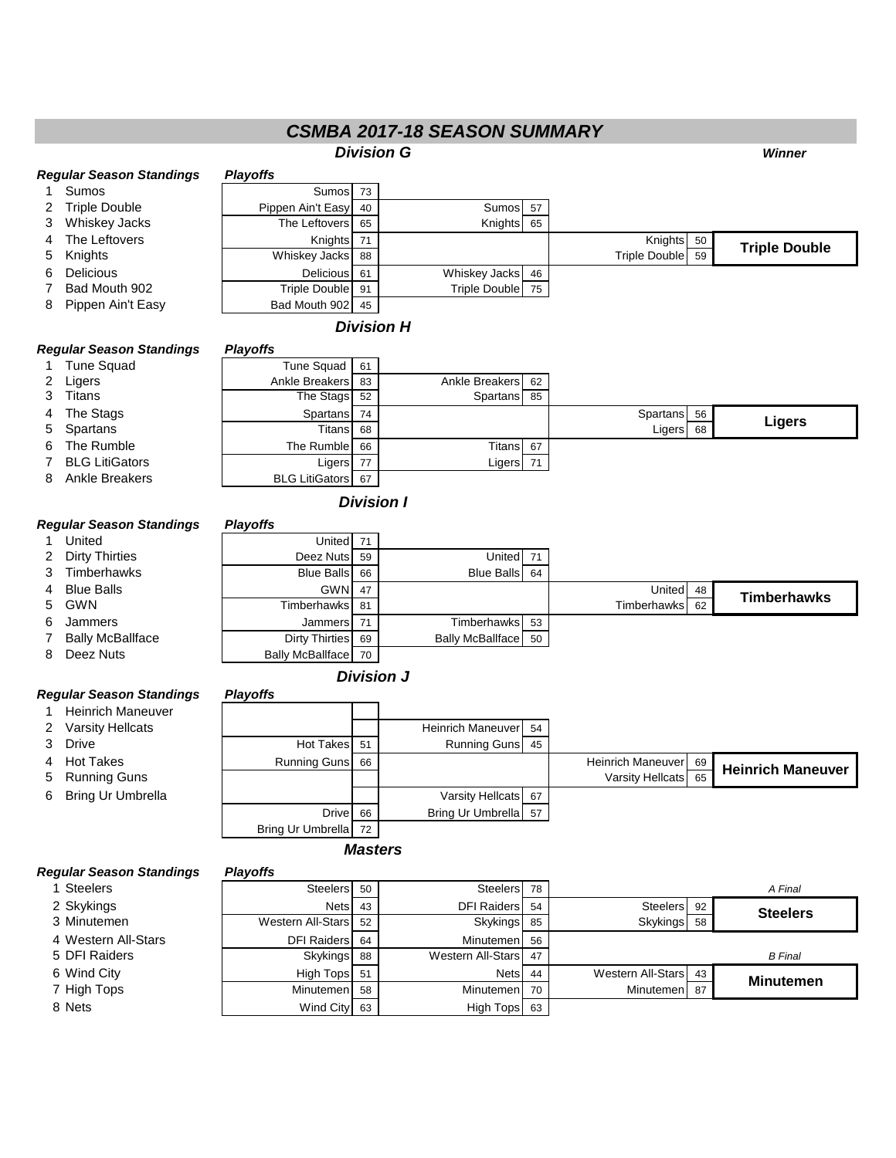## *CSMBA 2017-18 SEASON SUMMARY*

| <u>USIVIBA ZUT7-T8 SEASUN SUIVIIVIAR Y</u>         |                                      |                                                  |          |                          |    |                      |    |                          |
|----------------------------------------------------|--------------------------------------|--------------------------------------------------|----------|--------------------------|----|----------------------|----|--------------------------|
|                                                    |                                      |                                                  |          | <b>Division G</b>        |    |                      |    | <b>Winner</b>            |
| <b>Regular Season Standings</b><br><b>Playoffs</b> |                                      |                                                  |          |                          |    |                      |    |                          |
| 1.                                                 | Sumos                                | Sumos                                            | 73       |                          |    |                      |    |                          |
| 2                                                  | <b>Triple Double</b>                 | Pippen Ain't Easy                                | 40       | Sumos 57                 |    |                      |    |                          |
| 3                                                  | <b>Whiskey Jacks</b>                 | The Leftovers                                    | 65       | Knights                  | 65 |                      |    |                          |
| 4                                                  | The Leftovers                        | Knights                                          | 71       |                          |    | Knights 50           |    | <b>Triple Double</b>     |
| 5                                                  | Knights                              | Whiskey Jacks                                    | 88       |                          |    | <b>Triple Double</b> | 59 |                          |
| 6                                                  | <b>Delicious</b>                     | Delicious                                        | 61       | Whiskey Jacks 46         |    |                      |    |                          |
| 7                                                  | Bad Mouth 902                        | <b>Triple Double</b>                             | 91       | <b>Triple Double</b>     | 75 |                      |    |                          |
| 8                                                  | Pippen Ain't Easy                    | Bad Mouth 902                                    | 45       |                          |    |                      |    |                          |
|                                                    |                                      |                                                  |          | <b>Division H</b>        |    |                      |    |                          |
|                                                    | <b>Regular Season Standings</b>      | <b>Playoffs</b>                                  |          |                          |    |                      |    |                          |
|                                                    | Tune Squad                           | Tune Squad                                       | 61       |                          |    |                      |    |                          |
| 2                                                  | Ligers                               | Ankle Breakers                                   | 83       | <b>Ankle Breakers</b>    | 62 |                      |    |                          |
| 3                                                  | Titans                               | The Stags                                        | 52       | Spartans                 | 85 |                      |    |                          |
| 4                                                  | The Stags                            | Spartans                                         | 74       |                          |    | Spartans 56          |    |                          |
| 5                                                  | Spartans                             | <b>Titans</b>                                    | 68       |                          |    | Ligers               | 68 | <b>Ligers</b>            |
| 6                                                  | The Rumble                           | The Rumble                                       | 66       | Titans 67                |    |                      |    |                          |
| 7                                                  | <b>BLG LitiGators</b>                | Ligers                                           | 77       | Ligers                   | 71 |                      |    |                          |
| 8                                                  | <b>Ankle Breakers</b>                | <b>BLG LitiGators</b>                            | 67       |                          |    |                      |    |                          |
|                                                    |                                      |                                                  |          | <b>Division I</b>        |    |                      |    |                          |
|                                                    |                                      |                                                  |          |                          |    |                      |    |                          |
|                                                    | <b>Regular Season Standings</b>      | <b>Playoffs</b>                                  |          |                          |    |                      |    |                          |
| $\mathbf 1$                                        | United                               | United                                           | 71       |                          |    |                      |    |                          |
| 2                                                  | <b>Dirty Thirties</b>                | Deez Nuts                                        | 59       | United                   | 71 |                      |    |                          |
| 3                                                  | Timberhawks                          | <b>Blue Balls</b>                                | 66       | <b>Blue Balls</b>        | 64 |                      |    |                          |
| 4                                                  | <b>Blue Balls</b>                    | GWN                                              | 47       |                          |    | United               | 48 | <b>Timberhawks</b>       |
| 5                                                  | <b>GWN</b>                           | Timberhawks                                      | 81       |                          |    | Timberhawks          | 62 |                          |
| 6                                                  | Jammers                              | Jammers                                          | 71       | Timberhawks 53           |    |                      |    |                          |
| 7<br>8                                             | <b>Bally McBallface</b><br>Deez Nuts | <b>Dirty Thirties</b><br><b>Bally McBallface</b> | 69<br>70 | <b>Bally McBallface</b>  | 50 |                      |    |                          |
|                                                    |                                      |                                                  |          |                          |    |                      |    |                          |
|                                                    |                                      |                                                  |          | <b>Division J</b>        |    |                      |    |                          |
|                                                    | <b>Regular Season Standings</b>      | <b>Playoffs</b>                                  |          |                          |    |                      |    |                          |
| 1.                                                 | <b>Heinrich Maneuver</b>             |                                                  |          |                          |    |                      |    |                          |
| 2                                                  | <b>Varsity Hellcats</b>              |                                                  |          | Heinrich Maneuver 54     |    |                      |    |                          |
| 3                                                  | Drive                                | <b>Hot Takes</b>                                 | 51       | <b>Running Guns</b>      | 45 |                      |    |                          |
| 4                                                  | <b>Hot Takes</b>                     | Running Guns                                     | 66       |                          |    | Heinrich Maneuver 69 |    | <b>Heinrich Maneuver</b> |
| 5                                                  | <b>Running Guns</b>                  |                                                  |          |                          |    | Varsity Hellcats     | 65 |                          |
| 6                                                  | <b>Bring Ur Umbrella</b>             |                                                  |          | Varsity Hellcats 67      |    |                      |    |                          |
|                                                    |                                      | <b>Drive</b>                                     | 66       | Bring Ur Umbrella 57     |    |                      |    |                          |
|                                                    |                                      | Bring Ur Umbrella                                | 72       |                          |    |                      |    |                          |
| <b>Masters</b>                                     |                                      |                                                  |          |                          |    |                      |    |                          |
| <b>Regular Season Standings</b><br><b>Playoffs</b> |                                      |                                                  |          |                          |    |                      |    |                          |
|                                                    | 1 Steelers                           | <b>Steelers</b>                                  | 50       | Steelers 78              |    |                      |    | A Final                  |
|                                                    | 2 Skykings                           | <b>Nets</b>                                      | 43       | <b>DFI Raiders</b>       | 54 | Steelers 92          |    |                          |
|                                                    | 3 Minutemen                          | <b>Western All-Stars</b>                         | 52       | <b>Skykings</b>          | 85 | Skykings             | 58 | <b>Steelers</b>          |
|                                                    | 4 Western All-Stars                  | <b>DFI Raiders</b>                               | 64       | Minutemen                | 56 |                      |    |                          |
|                                                    | 5 DFI Raiders                        | Skykings                                         | 88       | <b>Western All-Stars</b> | 47 |                      |    | <b>B</b> Final           |
|                                                    | 6 Wind City                          | <b>High Tops</b>                                 | 51       | Nets                     | 44 | Western All-Stars    | 43 |                          |
|                                                    | 7 High Tops                          | Minutemen                                        | 58       | Minutemen                | 70 | Minutemen            | 87 | <b>Minutemen</b>         |
|                                                    | 8 Nets                               | Wind City                                        | 63       | <b>High Tops</b>         | 63 |                      |    |                          |
|                                                    |                                      |                                                  |          |                          |    |                      |    |                          |